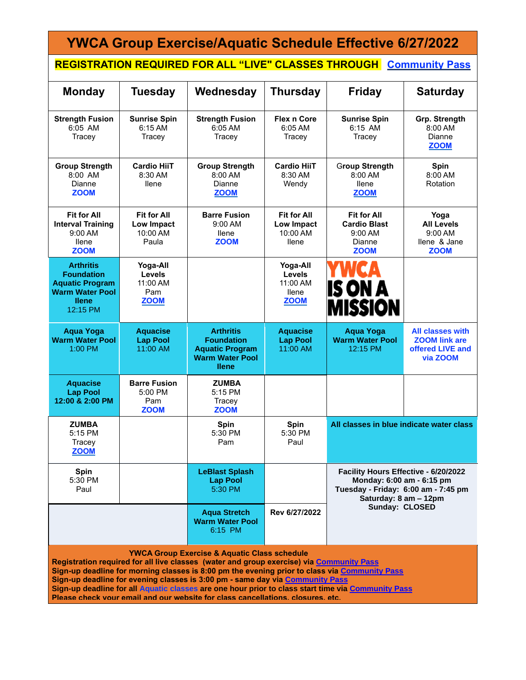| <b>YWCA Group Exercise/Aquatic Schedule Effective 6/27/2022</b>                                                                                                                                                                                                                                                                                                                                                                                                                                                                |                                                       |                                                                                                           |                                                                      |                                                                                                                                   |                                                                                 |
|--------------------------------------------------------------------------------------------------------------------------------------------------------------------------------------------------------------------------------------------------------------------------------------------------------------------------------------------------------------------------------------------------------------------------------------------------------------------------------------------------------------------------------|-------------------------------------------------------|-----------------------------------------------------------------------------------------------------------|----------------------------------------------------------------------|-----------------------------------------------------------------------------------------------------------------------------------|---------------------------------------------------------------------------------|
| <b>REGISTRATION REQUIRED FOR ALL "LIVE" CLASSES THROUGH Community Pass</b>                                                                                                                                                                                                                                                                                                                                                                                                                                                     |                                                       |                                                                                                           |                                                                      |                                                                                                                                   |                                                                                 |
| <b>Monday</b>                                                                                                                                                                                                                                                                                                                                                                                                                                                                                                                  | Tuesday                                               | Wednesday                                                                                                 | <b>Thursday</b>                                                      | <b>Friday</b>                                                                                                                     | <b>Saturday</b>                                                                 |
| <b>Strength Fusion</b><br>6:05 AM<br>Tracey                                                                                                                                                                                                                                                                                                                                                                                                                                                                                    | <b>Sunrise Spin</b><br>6:15 AM<br>Tracey              | <b>Strength Fusion</b><br>6:05 AM<br>Tracey                                                               | <b>Flex n Core</b><br>6:05 AM<br>Tracey                              | <b>Sunrise Spin</b><br>6:15 AM<br>Tracey                                                                                          | Grp. Strength<br>8:00 AM<br>Dianne<br><b>ZOOM</b>                               |
| <b>Group Strength</b><br>$8:00$ AM<br>Dianne<br><b>ZOOM</b>                                                                                                                                                                                                                                                                                                                                                                                                                                                                    | <b>Cardio HiiT</b><br>8:30 AM<br>llene                | <b>Group Strength</b><br>$8:00$ AM<br>Dianne<br><b>ZOOM</b>                                               | <b>Cardio HiiT</b><br>8:30 AM<br>Wendy                               | <b>Group Strength</b><br>$8:00$ AM<br>llene<br><b>ZOOM</b>                                                                        | <b>Spin</b><br>8:00 AM<br>Rotation                                              |
| <b>Fit for All</b><br><b>Interval Training</b><br>$9:00$ AM<br>llene<br><b>ZOOM</b>                                                                                                                                                                                                                                                                                                                                                                                                                                            | <b>Fit for All</b><br>Low Impact<br>10:00 AM<br>Paula | <b>Barre Fusion</b><br>9:00 AM<br><b>Ilene</b><br><b>ZOOM</b>                                             | <b>Fit for All</b><br>Low Impact<br>10:00 AM<br><b>Ilene</b>         | <b>Fit for All</b><br><b>Cardio Blast</b><br>$9:00$ AM<br>Dianne<br><b>ZOOM</b>                                                   | Yoga<br><b>All Levels</b><br>$9:00 \text{ AM}$<br>llene & Jane<br><b>ZOOM</b>   |
| <b>Arthritis</b><br><b>Foundation</b><br><b>Aquatic Program</b><br><b>Warm Water Pool</b><br><b>Ilene</b><br>12:15 PM                                                                                                                                                                                                                                                                                                                                                                                                          | Yoga-All<br>Levels<br>11:00 AM<br>Pam<br><b>ZOOM</b>  |                                                                                                           | Yoga-All<br><b>Levels</b><br>11:00 AM<br><b>Ilene</b><br><b>ZOOM</b> | <b>IS ON A</b><br><b>MISSION</b>                                                                                                  |                                                                                 |
| <b>Aqua Yoga</b><br><b>Warm Water Pool</b><br>$1:00$ PM                                                                                                                                                                                                                                                                                                                                                                                                                                                                        | <b>Aquacise</b><br><b>Lap Pool</b><br>11:00 AM        | <b>Arthritis</b><br><b>Foundation</b><br><b>Aquatic Program</b><br><b>Warm Water Pool</b><br><b>Ilene</b> | <b>Aquacise</b><br><b>Lap Pool</b><br>11:00 AM                       | <b>Aqua Yoga</b><br><b>Warm Water Pool</b><br>12:15 PM                                                                            | <b>All classes with</b><br><b>ZOOM link are</b><br>offered LIVE and<br>via ZOOM |
| <b>Aquacise</b><br><b>Lap Pool</b><br>12:00 & 2:00 PM                                                                                                                                                                                                                                                                                                                                                                                                                                                                          | <b>Barre Fusion</b><br>5:00 PM<br>Pam<br><b>ZOOM</b>  | <b>ZUMBA</b><br>5:15 PM<br>Tracey<br><b>ZOOM</b>                                                          |                                                                      |                                                                                                                                   |                                                                                 |
| <b>ZUMBA</b><br>5:15 PM<br>Tracey<br><b>ZOOM</b>                                                                                                                                                                                                                                                                                                                                                                                                                                                                               |                                                       | <b>Spin</b><br>5:30 PM<br>Pam                                                                             | Spin<br>5:30 PM<br>Paul                                              | All classes in blue indicate water class                                                                                          |                                                                                 |
| Spin<br>5:30 PM<br>Paul                                                                                                                                                                                                                                                                                                                                                                                                                                                                                                        |                                                       | <b>LeBlast Splash</b><br><b>Lap Pool</b><br>5:30 PM                                                       |                                                                      | Facility Hours Effective - 6/20/2022<br>Monday: 6:00 am - 6:15 pm<br>Tuesday - Friday: 6:00 am - 7:45 pm<br>Saturday: 8 am - 12pm |                                                                                 |
|                                                                                                                                                                                                                                                                                                                                                                                                                                                                                                                                |                                                       | <b>Aqua Stretch</b><br><b>Warm Water Pool</b><br>6:15 PM                                                  | Rev 6/27/2022                                                        | Sunday: CLOSED                                                                                                                    |                                                                                 |
| <b>YWCA Group Exercise &amp; Aquatic Class schedule</b><br>Registration required for all live classes (water and group exercise) via Community Pass<br>Sign-up deadline for morning classes is 8:00 pm the evening prior to class via Community Pass<br>Sign-up deadline for evening classes is 3:00 pm - same day via Community Pass<br>Sign-up deadline for all Aquatic classes are one hour prior to class start time via Community Pass<br>Please check your email and our website for class cancellations, closures, etc. |                                                       |                                                                                                           |                                                                      |                                                                                                                                   |                                                                                 |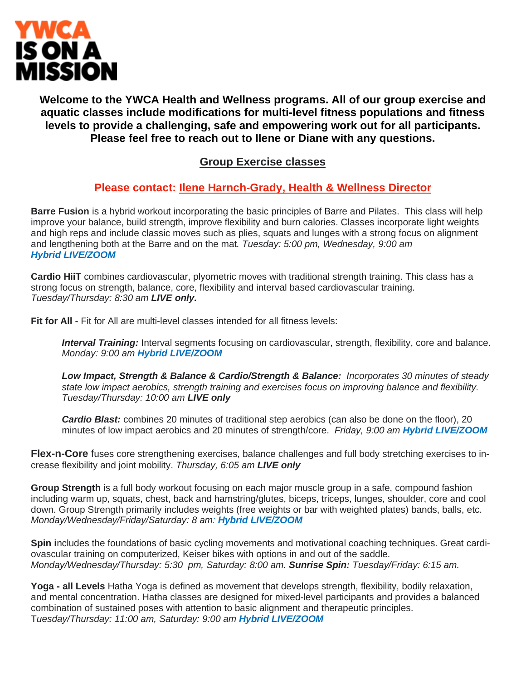

**Welcome to the YWCA Health and Wellness programs. All of our group exercise and aquatic classes include modifications for multi-level fitness populations and fitness levels to provide a challenging, safe and empowering work out for all participants. Please feel free to reach out to Ilene or Diane with any questions.**

# **Group Exercise classes**

## **Please contact: Ilene [Harnch-Grady,](mailto:ihgrady@ywcanewburyport.org) Health & Wellness Director**

**Barre Fusion** is a hybrid workout incorporating the basic principles of Barre and Pilates. This class will help improve your balance, build strength, improve flexibility and burn calories. Classes incorporate light weights and high reps and include classic moves such as plies, squats and lunges with a strong focus on alignment and lengthening both at the Barre and on the mat*. Tuesday: 5:00 pm, Wednesday, 9:00 am Hybrid LIVE/ZOOM*

**Cardio HiiT** combines cardiovascular, plyometric moves with traditional strength training. This class has a strong focus on strength, balance, core, flexibility and interval based cardiovascular training. *Tuesday/Thursday: 8:30 am LIVE only.*

**Fit for All -** Fit for All are multi-level classes intended for all fitness levels:

*Interval Training:* Interval segments focusing on cardiovascular, strength, flexibility, core and balance. *Monday: 9:00 am Hybrid LIVE/ZOOM*

*Low Impact, Strength & Balance & Cardio/Strength & Balance: Incorporates 30 minutes of steady state low impact aerobics, strength training and exercises focus on improving balance and flexibility. Tuesday/Thursday: 10:00 am LIVE only*

*Cardio Blast:* combines 20 minutes of traditional step aerobics (can also be done on the floor), 20 minutes of low impact aerobics and 20 minutes of strength/core. *Friday, 9:00 am Hybrid LIVE/ZOOM*

**Flex-n-Core** fuses core strengthening exercises, balance challenges and full body stretching exercises to increase flexibility and joint mobility. *Thursday, 6:05 am LIVE only*

**Group Strength** is a full body workout focusing on each major muscle group in a safe, compound fashion including warm up, squats, chest, back and hamstring/glutes, biceps, triceps, lunges, shoulder, core and cool down. Group Strength primarily includes weights (free weights or bar with weighted plates) bands, balls, etc. *Monday/Wednesday/Friday/Saturday: 8 am: Hybrid LIVE/ZOOM*

**Spin i**ncludes the foundations of basic cycling movements and motivational coaching techniques. Great cardiovascular training on computerized, Keiser bikes with options in and out of the saddle. *Monday/Wednesday/Thursday: 5:30 pm, Saturday: 8:00 am. Sunrise Spin: Tuesday/Friday: 6:15 am.*

**Yoga - all Levels** Hatha Yoga is defined as movement that develops strength, flexibility, bodily relaxation, and mental concentration. Hatha classes are designed for mixed-level participants and provides a balanced combination of sustained poses with attention to basic alignment and therapeutic principles. T*uesday/Thursday: 11:00 am, Saturday: 9:00 am Hybrid LIVE/ZOOM*